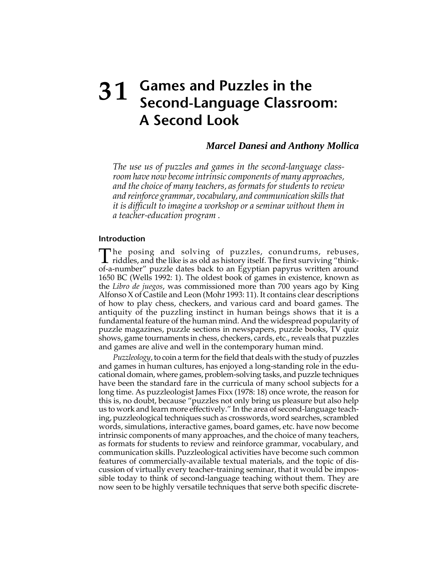# **Games and Puzzles in the 31** Games and Puzzles in the<br>Second-Language Classroom: **A Second Look**

# *Marcel Danesi and Anthony Mollica*

*The use us of puzzles and games in the second-language classroom have now become intrinsic components of many approaches, and the choice of many teachers, as formats for students to review and reinforce grammar, vocabulary, and communication skills that it is difficult to imagine a workshop or a seminar without them in a teacher-education program .*

## **Introduction**

The posing and solving of puzzles, conundrums, rebuses,<br>riddles, and the like is as old as history itself. The first surviving "thinkof-a-number" puzzle dates back to an Egyptian papyrus written around 1650 BC (Wells 1992: 1). The oldest book of games in existence, known as the *Libro de juegos*, was commissioned more than 700 years ago by King Alfonso X of Castile and Leon (Mohr 1993: 11). It contains clear descriptions of how to play chess, checkers, and various card and board games. The antiquity of the puzzling instinct in human beings shows that it is a fundamental feature of the human mind. And the widespread popularity of puzzle magazines, puzzle sections in newspapers, puzzle books, TV quiz shows, game tournaments in chess, checkers, cards, etc., reveals that puzzles and games are alive and well in the contemporary human mind.

*Puzzleology*, to coin a term for the field that deals with the study of puzzles and games in human cultures, has enjoyed a long-standing role in the educational domain, where games, problem-solving tasks, and puzzle techniques have been the standard fare in the curricula of many school subjects for a long time. As puzzleologist James Fixx (1978: 18) once wrote, the reason for this is, no doubt, because "puzzles not only bring us pleasure but also help us to work and learn more effectively." In the area of second-language teaching, puzzleological techniques such as crosswords, word searches, scrambled words, simulations, interactive games, board games, etc. have now become intrinsic components of many approaches, and the choice of many teachers, as formats for students to review and reinforce grammar, vocabulary, and communication skills. Puzzleological activities have become such common features of commercially-available textual materials, and the topic of discussion of virtually every teacher-training seminar, that it would be impossible today to think of second-language teaching without them. They are now seen to be highly versatile techniques that serve both specific discrete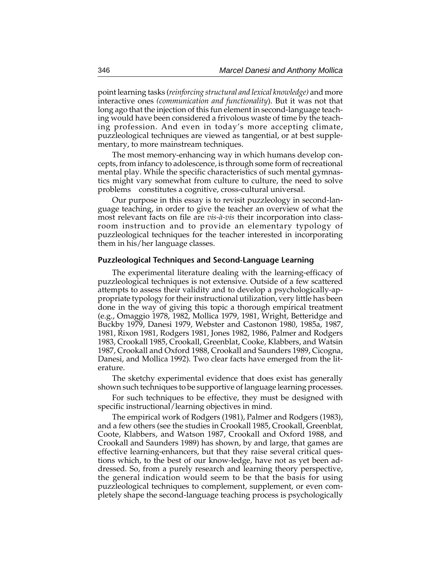point learning tasks (*reinforcing structural and lexical knowledge)* and more interactive ones *(communication and functionality*). But it was not that long ago that the injection of this fun element in second-language teaching would have been considered a frivolous waste of time by the teaching profession. And even in today's more accepting climate, puzzleological techniques are viewed as tangential, or at best supplementary, to more mainstream techniques.

The most memory-enhancing way in which humans develop concepts, from infancy to adolescence, is through some form of recreational mental play. While the specific characteristics of such mental gymnastics might vary somewhat from culture to culture, the need to solve problems constitutes a cognitive, cross-cultural universal.

Our purpose in this essay is to revisit puzzleology in second-language teaching, in order to give the teacher an overview of what the most relevant facts on file are *vis-à-vis* their incorporation into classroom instruction and to provide an elementary typology of puzzleological techniques for the teacher interested in incorporating them in his/her language classes.

## **Puzzleological Techniques and Second-Language Learning**

The experimental literature dealing with the learning-efficacy of puzzleological techniques is not extensive. Outside of a few scattered attempts to assess their validity and to develop a psychologically-appropriate typology for their instructional utilization, very little has been done in the way of giving this topic a thorough empirical treatment (e.g., Omaggio 1978, 1982, Mollica 1979, 1981, Wright, Betteridge and Buckby 1979, Danesi 1979, Webster and Castonon 1980, 1985a, 1987, 1981, Rixon 1981, Rodgers 1981, Jones 1982, 1986, Palmer and Rodgers 1983, Crookall 1985, Crookall, Greenblat, Cooke, Klabbers, and Watsin 1987, Crookall and Oxford 1988, Crookall and Saunders 1989, Cicogna, Danesi, and Mollica 1992). Two clear facts have emerged from the literature.

The sketchy experimental evidence that does exist has generally shown such techniques to be supportive of language learning processes.

For such techniques to be effective, they must be designed with specific instructional/learning objectives in mind.

The empirical work of Rodgers (1981), Palmer and Rodgers (1983), and a few others (see the studies in Crookall 1985, Crookall, Greenblat, Coote, Klabbers, and Watson 1987, Crookall and Oxford 1988, and Crookall and Saunders 1989) has shown, by and large, that games are effective learning-enhancers, but that they raise several critical questions which, to the best of our know-ledge, have not as yet been addressed. So, from a purely research and learning theory perspective, the general indication would seem to be that the basis for using puzzleological techniques to complement, supplement, or even completely shape the second-language teaching process is psychologically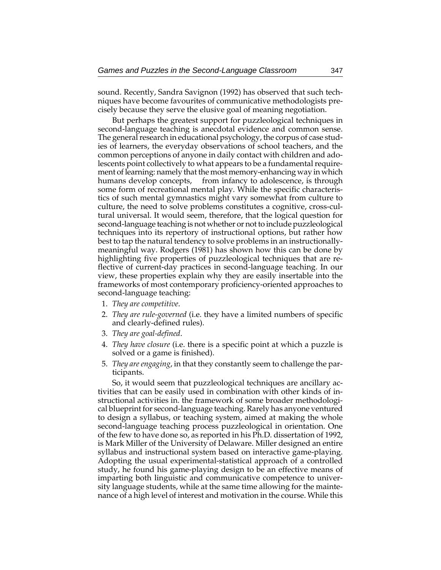sound. Recently, Sandra Savignon (1992) has observed that such techniques have become favourites of communicative methodologists precisely because they serve the elusive goal of meaning negotiation.

But perhaps the greatest support for puzzleological techniques in second-language teaching is anecdotal evidence and common sense. The general research in educational psychology, the corpus of case studies of learners, the everyday observations of school teachers, and the common perceptions of anyone in daily contact with children and adolescents point collectively to what appears to be a fundamental requirement of learning: namely that the most memory-enhancing way in which humans develop concepts, from infancy to adolescence, is through some form of recreational mental play. While the specific characteristics of such mental gymnastics might vary somewhat from culture to culture, the need to solve problems constitutes a cognitive, cross-cultural universal. It would seem, therefore, that the logical question for second-language teaching is not whether or not to include puzzleological techniques into its repertory of instructional options, but rather how best to tap the natural tendency to solve problems in an instructionallymeaningful way. Rodgers (1981) has shown how this can be done by highlighting five properties of puzzleological techniques that are reflective of current-day practices in second-language teaching. In our view, these properties explain why they are easily insertable into the frameworks of most contemporary proficiency-oriented approaches to second-language teaching:

- 1. *They are competitive*.
- 2. *They are rule-governed* (i.e. they have a limited numbers of specific and clearly-defined rules).
- 3. *They are goal-defined*.
- 4. *They have closure* (i.e. there is a specific point at which a puzzle is solved or a game is finished).
- 5. *They are engaging*, in that they constantly seem to challenge the participants.

So, it would seem that puzzleological techniques are ancillary activities that can be easily used in combination with other kinds of instructional activities in. the framework of some broader methodological blueprint for second-language teaching. Rarely has anyone ventured to design a syllabus, or teaching system, aimed at making the whole second-language teaching process puzzleological in orientation. One of the few to have done so, as reported in his Ph.D. dissertation of 1992, is Mark Miller of the University of Delaware. Miller designed an entire syllabus and instructional system based on interactive game-playing. Adopting the usual experimental-statistical approach of a controlled study, he found his game-playing design to be an effective means of imparting both linguistic and communicative competence to university language students, while at the same time allowing for the maintenance of a high level of interest and motivation in the course. While this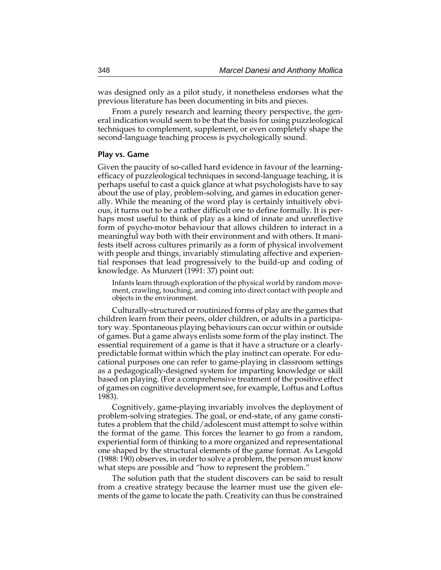was designed only as a pilot study, it nonetheless endorses what the previous literature has been documenting in bits and pieces.

From a purely research and learning theory perspective, the general indication would seem to be that the basis for using puzzleological techniques to complement, supplement, or even completely shape the second-language teaching process is psychologically sound.

#### **Play vs. Game**

Given the paucity of so-called hard evidence in favour of the learningefficacy of puzzleological techniques in second-language teaching, it is perhaps useful to cast a quick glance at what psychologists have to say about the use of play, problem-solving, and games in education generally. While the meaning of the word play is certainly intuitively obvious, it turns out to be a rather difficult one to define formally. It is perhaps most useful to think of play as a kind of innate and unreflective form of psycho-motor behaviour that allows children to interact in a meaningful way both with their environment and with others. It manifests itself across cultures primarily as a form of physical involvement with people and things, invariably stimulating affective and experiential responses that lead progressively to the build-up and coding of knowledge. As Munzert (1991: 37) point out:

Infants learn through exploration of the physical world by random movement, crawling, touching, and coming into direct contact with people and objects in the environment.

Culturally-structured or routinized forms of play are the games that children learn from their peers, older children, or adults in a participatory way. Spontaneous playing behaviours can occur within or outside of games. But a game always enlists some form of the play instinct. The essential requirement of a game is that it have a structure or a clearlypredictable format within which the play instinct can operate. For educational purposes one can refer to game-playing in classroom settings as a pedagogically-designed system for imparting knowledge or skill based on playing. (For a comprehensive treatment of the positive effect of games on cognitive development see, for example, Loftus and Loftus 1983).

Cognitively, game-playing invariably involves the deployment of problem-solving strategies. The goal, or end-state, of any game constitutes a problem that the child/adolescent must attempt to solve within the format of the game. This forces the learner to go from a random, experiential form of thinking to a more organized and representational one shaped by the structural elements of the game format. As Lesgold (1988: 190) observes, in order to solve a problem, the person must know what steps are possible and "how to represent the problem."

The solution path that the student discovers can be said to result from a creative strategy because the learner must use the given elements of the game to locate the path. Creativity can thus be constrained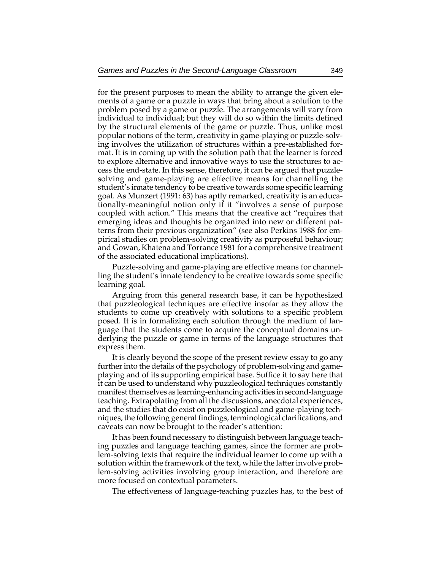for the present purposes to mean the ability to arrange the given elements of a game or a puzzle in ways that bring about a solution to the problem posed by a game or puzzle. The arrangements will vary from individual to individual; but they will do so within the limits defined by the structural elements of the game or puzzle. Thus, unlike most popular notions of the term, creativity in game-playing or puzzle-solving involves the utilization of structures within a pre-established format. It is in coming up with the solution path that the learner is forced to explore alternative and innovative ways to use the structures to access the end-state. In this sense, therefore, it can be argued that puzzlesolving and game-playing are effective means for channelling the student's innate tendency to be creative towards some specific learning goal. As Munzert (1991: 63) has aptly remarked, creativity is an educationally-meaningful notion only if it "involves a sense of purpose coupled with action." This means that the creative act "requires that emerging ideas and thoughts be organized into new or different patterns from their previous organization" (see also Perkins 1988 for empirical studies on problem-solving creativity as purposeful behaviour; and Gowan, Khatena and Torrance 1981 for a comprehensive treatment of the associated educational implications).

Puzzle-solving and game-playing are effective means for channelling the student's innate tendency to be creative towards some specific learning goal.

Arguing from this general research base, it can be hypothesized that puzzleological techniques are effective insofar as they allow the students to come up creatively with solutions to a specific problem posed. It is in formalizing each solution through the medium of language that the students come to acquire the conceptual domains underlying the puzzle or game in terms of the language structures that express them.

It is clearly beyond the scope of the present review essay to go any further into the details of the psychology of problem-solving and gameplaying and of its supporting empirical base. Suffice it to say here that it can be used to understand why puzzleological techniques constantly manifest themselves as learning-enhancing activities in second-language teaching. Extrapolating from all the discussions, anecdotal experiences, and the studies that do exist on puzzleological and game-playing techniques, the following general findings, terminological clarifications, and caveats can now be brought to the reader's attention:

It has been found necessary to distinguish between language teaching puzzles and language teaching games, since the former are problem-solving texts that require the individual learner to come up with a solution within the framework of the text, while the latter involve problem-solving activities involving group interaction, and therefore are more focused on contextual parameters.

The effectiveness of language-teaching puzzles has, to the best of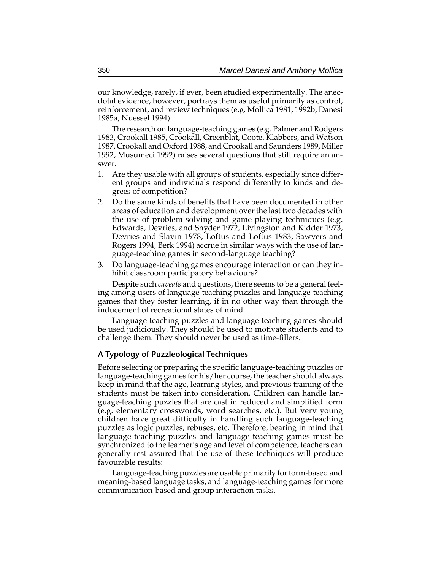our knowledge, rarely, if ever, been studied experimentally. The anecdotal evidence, however, portrays them as useful primarily as control, reinforcement, and review techniques (e.g. Mollica 1981, 1992b, Danesi 1985a, Nuessel 1994).

The research on language-teaching games (e.g. Palmer and Rodgers 1983, Crookall 1985, Crookall, Greenblat, Coote, Klabbers, and Watson 1987, Crookall and Oxford 1988, and Crookall and Saunders 1989, Miller 1992, Musumeci 1992) raises several questions that still require an answer.

- 1. Are they usable with all groups of students, especially since different groups and individuals respond differently to kinds and degrees of competition?
- 2. Do the same kinds of benefits that have been documented in other areas of education and development over the last two decades with the use of problem-solving and game-playing techniques (e.g. Edwards, Devries, and Snyder 1972, Livingston and Kidder 1973, Devries and Slavin 1978, Loftus and Loftus 1983, Sawyers and Rogers 1994, Berk 1994) accrue in similar ways with the use of language-teaching games in second-language teaching?
- 3. Do language-teaching games encourage interaction or can they inhibit classroom participatory behaviours?

Despite such *caveats* and questions, there seems to be a general feeling among users of language-teaching puzzles and language-teaching games that they foster learning, if in no other way than through the inducement of recreational states of mind.

Language-teaching puzzles and language-teaching games should be used judiciously. They should be used to motivate students and to challenge them. They should never be used as time-fillers.

#### **A Typology of Puzzleological Techniques**

Before selecting or preparing the specific language-teaching puzzles or language-teaching games for his/her course, the teacher should always keep in mind that the age, learning styles, and previous training of the students must be taken into consideration. Children can handle language-teaching puzzles that are cast in reduced and simplified form (e.g. elementary crosswords, word searches, etc.). But very young children have great difficulty in handling such language-teaching puzzles as logic puzzles, rebuses, etc. Therefore, bearing in mind that language-teaching puzzles and language-teaching games must be synchronized to the learner's age and level of competence, teachers can generally rest assured that the use of these techniques will produce favourable results:

Language-teaching puzzles are usable primarily for form-based and meaning-based language tasks, and language-teaching games for more communication-based and group interaction tasks.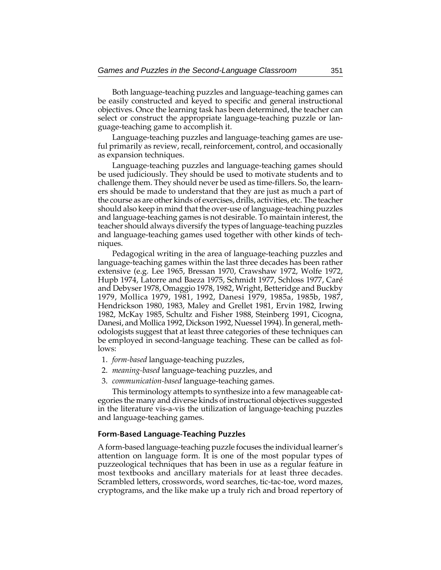Both language-teaching puzzles and language-teaching games can be easily constructed and keyed to specific and general instructional objectives. Once the learning task has been determined, the teacher can select or construct the appropriate language-teaching puzzle or language-teaching game to accomplish it.

Language-teaching puzzles and language-teaching games are useful primarily as review, recall, reinforcement, control, and occasionally as expansion techniques.

Language-teaching puzzles and language-teaching games should be used judiciously. They should be used to motivate students and to challenge them. They should never be used as time-fillers. So, the learners should be made to understand that they are just as much a part of the course as are other kinds of exercises, drills, activities, etc. The teacher should also keep in mind that the over-use of language-teaching puzzles and language-teaching games is not desirable. To maintain interest, the teacher should always diversify the types of language-teaching puzzles and language-teaching games used together with other kinds of techniques.

Pedagogical writing in the area of language-teaching puzzles and language-teaching games within the last three decades has been rather extensive (e.g. Lee 1965, Bressan 1970, Crawshaw 1972, Wolfe 1972, Hupb 1974, Latorre and Baeza 1975, Schmidt 1977, Schloss 1977, Caré and Debyser 1978, Omaggio 1978, 1982, Wright, Betteridge and Buckby 1979, Mollica 1979, 1981, 1992, Danesi 1979, 1985a, 1985b, 1987, Hendrickson 1980, 1983, Maley and Grellet 1981, Ervin 1982, Irwing 1982, McKay 1985, Schultz and Fisher 1988, Steinberg 1991, Cicogna, Danesi, and Mollica 1992, Dickson 1992, Nuessel 1994). In general, methodologists suggest that at least three categories of these techniques can be employed in second-language teaching. These can be called as follows:

- 1. *form-based* language-teaching puzzles,
- 2. *meaning-based* language-teaching puzzles, and
- 3. *communication-based* language-teaching games.

This terminology attempts to synthesize into a few manageable categories the many and diverse kinds of instructional objectives suggested in the literature vis-a-vis the utilization of language-teaching puzzles and language-teaching games.

#### **Form-Based Language-Teaching Puzzles**

A form-based language-teaching puzzle focuses the individual learner's attention on language form. It is one of the most popular types of puzzeological techniques that has been in use as a regular feature in most textbooks and ancillary materials for at least three decades. Scrambled letters, crosswords, word searches, tic-tac-toe, word mazes, cryptograms, and the like make up a truly rich and broad repertory of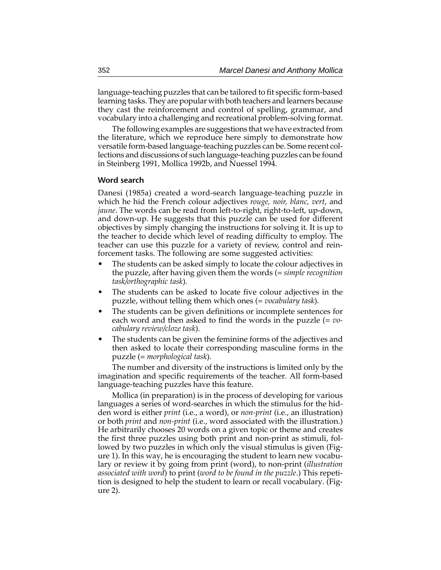language-teaching puzzles that can be tailored to fit specific form-based learning tasks. They are popular with both teachers and learners because they cast the reinforcement and control of spelling, grammar, and vocabulary into a challenging and recreational problem-solving format.

The following examples are suggestions that we have extracted from the literature, which we reproduce here simply to demonstrate how versatile form-based language-teaching puzzles can be. Some recent collections and discussions of such language-teaching puzzles can be found in Steinberg 1991, Mollica 1992b, and Nuessel 1994.

#### **Word search**

Danesi (1985a) created a word-search language-teaching puzzle in which he hid the French colour adjectives *rouge, noir, blanc, vert*, and *jaune*. The words can be read from left-to-right, right-to-left, up-down, and down-up. He suggests that this puzzle can be used for different objectives by simply changing the instructions for solving it. It is up to the teacher to decide which level of reading difficulty to employ. The teacher can use this puzzle for a variety of review, control and reinforcement tasks. The following are some suggested activities:

- The students can be asked simply to locate the colour adjectives in the puzzle, after having given them the words (= *simple recognition task/orthographic task*).
- The students can be asked to locate five colour adjectives in the puzzle, without telling them which ones (= *vocabulary task*).
- The students can be given definitions or incomplete sentences for each word and then asked to find the words in the puzzle (= *vocabulary review/cloze task*).
- The students can be given the feminine forms of the adjectives and then asked to locate their corresponding masculine forms in the puzzle (= *morphological task*).

The number and diversity of the instructions is limited only by the imagination and specific requirements of the teacher. All form-based language-teaching puzzles have this feature.

Mollica (in preparation) is in the process of developing for various languages a series of word-searches in which the stimulus for the hidden word is either *print* (i.e., a word), or *non-print* (i.e., an illustration) or both *print* and *non-print* (i.e., word associated with the illustration.) He arbitrarily chooses 20 words on a given topic or theme and creates the first three puzzles using both print and non-print as stimuli, followed by two puzzles in which only the visual stimulus is given (Figure 1). In this way, he is encouraging the student to learn new vocabulary or review it by going from print (word), to non-print (*illustration associated with word*) to print (*word to be found in the puzzle*.) This repetition is designed to help the student to learn or recall vocabulary. (Figure 2).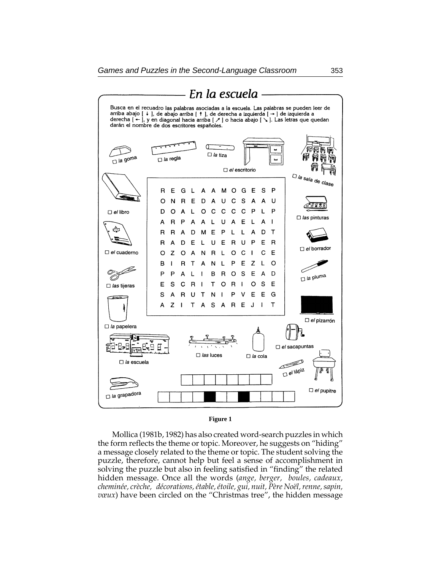

#### **Figure 1**

Mollica (1981b, 1982) has also created word-search puzzles in which the form reflects the theme or topic. Moreover, he suggests on "hiding" a message closely related to the theme or topic. The student solving the puzzle, therefore, cannot help but feel a sense of accomplishment in solving the puzzle but also in feeling satisfied in "finding" the related hidden message. Once all the words (*ange, berger, boules, cadeaux, cheminée, crèche, décorations, étable, étoile, gui, nuit, Père Noël, renne, sapin, vœux*) have been circled on the "Christmas tree", the hidden message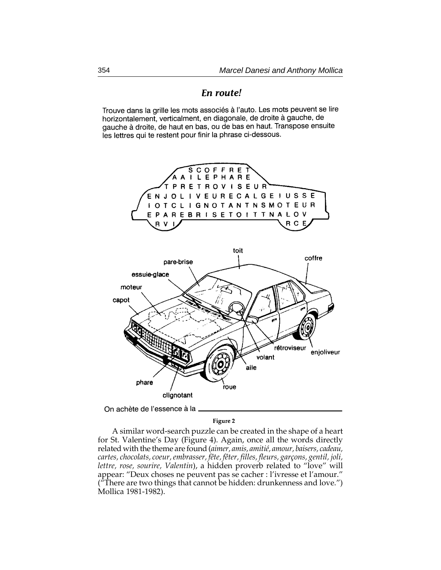# En route!

Trouve dans la grille les mots associés à l'auto. Les mots peuvent se lire horizontalement, verticalment, en diagonale, de droite à gauche, de gauche à droite, de haut en bas, ou de bas en haut. Transpose ensuite les lettres qui te restent pour finir la phrase ci-dessous.



On achète de l'essence à la.

Figure 2

A similar word-search puzzle can be created in the shape of a heart for St. Valentine's Day (Figure 4). Again, once all the words directly related with the theme are found (*aimer, amis, amitié, amour, baisers, cadeau, cartes, chocolats, coeur, embrasser, fête, fêter, filles, fleurs, garçons, gentil, joli, lettre, rose, sourire, Valentin*), a hidden proverb related to "love" will appear: "Deux choses ne peuvent pas se cacher : l'ivresse et l'amour."  $\binom{n}{r}$  There are two things that cannot be hidden: drunkenness and love.") Mollica 1981-1982).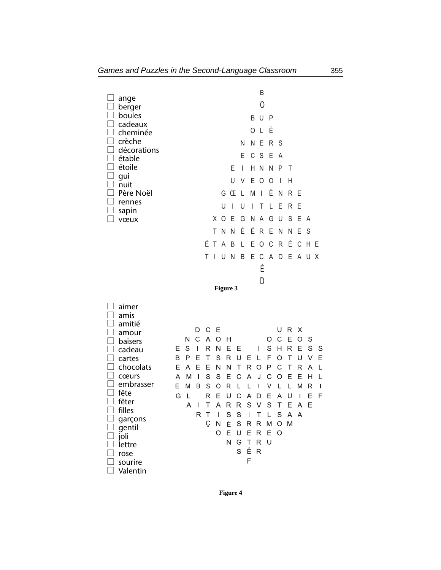|               | ange<br>berger<br>boules<br>cadeaux<br>cheminée<br>crèche<br>décorations<br>étable<br>étoile                                                                                                        |                            |                                      |                                                           |                                                     |                                                                               |                                                          |                                                                              | Ν<br>E                                                         | B<br>0<br>Ν<br>С      | B<br>0<br>U<br>L<br>Ε<br>S                                                    | Ρ<br>È<br>R<br>Ε                                         | S<br>A                                                                        |                                                         |                                                            |                                      |                            |
|---------------|-----------------------------------------------------------------------------------------------------------------------------------------------------------------------------------------------------|----------------------------|--------------------------------------|-----------------------------------------------------------|-----------------------------------------------------|-------------------------------------------------------------------------------|----------------------------------------------------------|------------------------------------------------------------------------------|----------------------------------------------------------------|-----------------------|-------------------------------------------------------------------------------|----------------------------------------------------------|-------------------------------------------------------------------------------|---------------------------------------------------------|------------------------------------------------------------|--------------------------------------|----------------------------|
|               | gui<br>nuit                                                                                                                                                                                         |                            |                                      |                                                           |                                                     |                                                                               |                                                          | Ε<br>U                                                                       | $\overline{\phantom{a}}$<br>V                                  | Η<br>Ε                | N<br>0                                                                        | Ν<br>0                                                   | P<br>$\overline{1}$                                                           | Τ<br>Н                                                  |                                                            |                                      |                            |
|               | Père Noël                                                                                                                                                                                           |                            |                                      |                                                           |                                                     |                                                                               | G                                                        | Œ                                                                            | L                                                              | M                     | $\overline{1}$                                                                | Ë                                                        | N                                                                             | R                                                       | Е                                                          |                                      |                            |
|               | rennes<br>sapin                                                                                                                                                                                     |                            |                                      |                                                           |                                                     |                                                                               | U                                                        | I                                                                            | U                                                              | $\mathbf{I}$          | Τ                                                                             | L                                                        | Ε                                                                             | R                                                       | Е                                                          |                                      |                            |
|               | vœux                                                                                                                                                                                                |                            |                                      |                                                           |                                                     | X.                                                                            | 0                                                        | Ε                                                                            | G                                                              | Ν                     | A                                                                             | G                                                        | U                                                                             | S                                                       | Ε                                                          | A                                    |                            |
|               |                                                                                                                                                                                                     |                            |                                      |                                                           |                                                     | Τ                                                                             | N                                                        | N                                                                            | É                                                              | É                     | R                                                                             | Ε                                                        | N                                                                             | N                                                       | Ε                                                          | S                                    |                            |
|               |                                                                                                                                                                                                     |                            |                                      |                                                           | É                                                   | Τ                                                                             | Α                                                        | B                                                                            | L                                                              | Ε                     | 0                                                                             | C                                                        | R                                                                             | È                                                       | C                                                          | H                                    | Е                          |
|               |                                                                                                                                                                                                     |                            |                                      |                                                           | Τ                                                   | I                                                                             | U                                                        | N                                                                            | B                                                              | Ε                     | С                                                                             | A                                                        | D                                                                             | Ε                                                       | A                                                          | U                                    | X                          |
|               |                                                                                                                                                                                                     |                            |                                      |                                                           |                                                     |                                                                               |                                                          |                                                                              |                                                                |                       | É                                                                             |                                                          |                                                                               |                                                         |                                                            |                                      |                            |
|               |                                                                                                                                                                                                     |                            |                                      |                                                           |                                                     |                                                                               | Figure 3                                                 |                                                                              |                                                                |                       | D                                                                             |                                                          |                                                                               |                                                         |                                                            |                                      |                            |
| ×.<br>×<br>×. | aimer<br>amis<br>amitié<br>amour<br>baisers<br>cadeau<br>cartes<br>chocolats<br>cœurs<br>embrasser<br>fête<br>fêter<br>filles<br>garçons<br>gentil<br>joli<br>lettre<br>rose<br>sourire<br>Valentin | Е<br>в<br>Е<br>A<br>E<br>G | Ν<br>S<br>Ρ<br>Α<br>M<br>Μ<br>L<br>A | D<br>C<br>I<br>Ε<br>E<br>$\mathbf I$<br>B<br>I<br>I<br>R, | С<br>Α<br>R<br>Τ<br>Ε<br>S<br>S<br>R<br>Т<br>Τ<br>Ç | Е<br>O<br>N<br>S<br>N<br>S<br>Ο<br>Ε<br>A<br>$\mathbf I$<br>$\mathsf{N}$<br>O | Н<br>Ε<br>R<br>N<br>Ε<br>R<br>U<br>R<br>S<br>É<br>E<br>N | Ε<br>U<br>T<br>С<br>L<br>C<br>R<br>$\mathbb S$<br>$\mathbb S$<br>U<br>G<br>S | $\mathsf R$<br>L<br>A<br>S<br>$\mathbf{I}$<br>$\mathsf R$<br>F | Е<br>Α<br>Ε<br>T<br>Ê | I<br>L<br>O<br>J<br>I<br>D<br>V<br>T<br>R<br>R<br>$\mathsf R$<br>$\mathsf{R}$ | O<br>S<br>F<br>Ρ<br>С<br>٧<br>Е<br>S<br>L<br>M<br>Ε<br>U | U<br>$\mathsf{C}$<br>Н<br>O<br>C<br>O<br>L<br>A<br>Τ<br>$\bigcirc$<br>$\circ$ | R<br>Ε<br>R<br>Τ<br>T<br>Ε<br>L<br>U<br>E<br>S A A<br>M | Х<br>$\circ$<br>Ε<br>U<br>$\mathsf{R}$<br>Ε<br>M<br>I<br>Α | S<br>S<br>٧<br>A<br>Н<br>R<br>Ε<br>Е | S<br>E<br>L<br>L<br>I<br>F |

**Figure 4**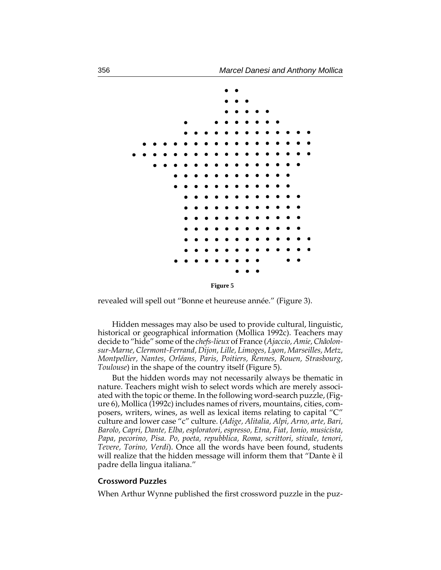

**Figure 5**

revealed will spell out "Bonne et heureuse année." (Figure 3).

Hidden messages may also be used to provide cultural, linguistic, historical or geographical information (Mollica 1992c). Teachers may decide to "hide" some of the *chefs-lieux* of France (*Ajaccio, Amie, Châolonsur-Marne, Clermont-Ferrand, Dijon, Lille, Limoges, Lyon, Marseilles, Metz, Montpellier, Nantes, Orléans, Paris, Poitiers, Rennes, Rouen, Strasbourg, Toulouse*) in the shape of the country itself (Figure 5).

But the hidden words may not necessarily always be thematic in nature. Teachers might wish to select words which are merely associated with the topic or theme. In the following word-search puzzle, (Figure 6), Mollica (1992c) includes names of rivers, mountains, cities, composers, writers, wines, as well as lexical items relating to capital "C" culture and lower case "c" culture. (*Adige, Alitalia, Alpi, Arno, arte, Bari, Barolo, Capri, Dante, Elba, esploratori, espresso, Etna, Fiat, Ionio, musicista, Papa, pecorino, Pisa. Po, poeta, repubblica, Roma, scrittori, stivale, tenori, Tevere, Torino, Verdi*). Once all the words have been found, students will realize that the hidden message will inform them that "Dante è il padre della lingua italiana."

#### **Crossword Puzzles**

When Arthur Wynne published the first crossword puzzle in the puz-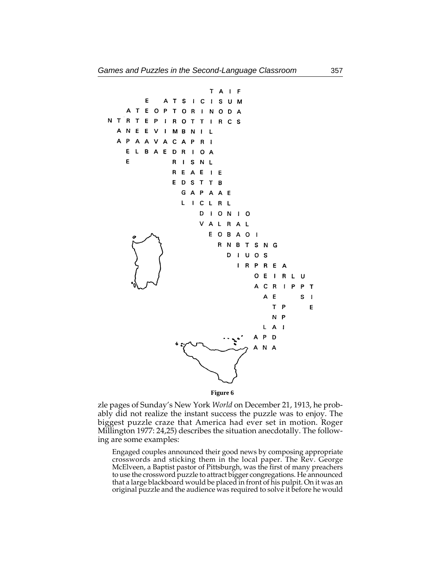

zle pages of Sunday's New York *World* on December 21, 1913, he probably did not realize the instant success the puzzle was to enjoy. The biggest puzzle craze that America had ever set in motion. Roger Millington 1977: 24,25) describes the situation anecdotally. The following are some examples:

Engaged couples announced their good news by composing appropriate crosswords and sticking them in the local paper. The Rev. George McElveen, a Baptist pastor of Pittsburgh, was the first of many preachers to use the crossword puzzle to attract bigger congregations. He announced that a large blackboard would be placed in front of his pulpit. On it was an original puzzle and the audience was required to solve it before he would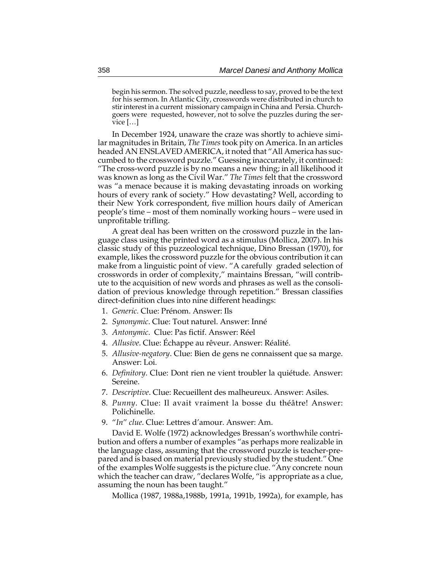begin his sermon. The solved puzzle, needless to say, proved to be the text for his sermon. In Atlantic City, crosswords were distributed in church to stir interest in a current missionary campaign in China and Persia. Churchgoers were requested, however, not to solve the puzzles during the service […]

In December 1924, unaware the craze was shortly to achieve similar magnitudes in Britain, *The Times* took pity on America. In an articles headed AN ENSLAVED AMERICA, it noted that "All America has succumbed to the crossword puzzle." Guessing inaccurately, it continued: "The cross-word puzzle is by no means a new thing; in all likelihood it was known as long as the Civil War." *The Times* felt that the crossword was "a menace because it is making devastating inroads on working hours of every rank of society." How devastating? Well, according to their New York correspondent, five million hours daily of American people's time – most of them nominally working hours – were used in unprofitable trifling.

A great deal has been written on the crossword puzzle in the language class using the printed word as a stimulus (Mollica, 2007). In his classic study of this puzzeological technique, Dino Bressan (1970), for example, likes the crossword puzzle for the obvious contribution it can make from a linguistic point of view. "A carefully graded selection of crosswords in order of complexity," maintains Bressan, "will contribute to the acquisition of new words and phrases as well as the consolidation of previous knowledge through repetition." Bressan classifies direct-definition clues into nine different headings:

- 1. *Generic.* Clue: Prénom. Answer: Ils
- 2. *Synonymic*. Clue: Tout naturel. Answer: Inné
- 3. *Antonymic*. Clue: Pas fictif. Answer: Réel
- 4. *Allusive*. Clue: Échappe au rêveur. Answer: Réalité.
- 5. *Allusive-negatory*. Clue: Bien de gens ne connaissent que sa marge. Answer: Loi.
- 6. *Definitory*. Clue: Dont rien ne vient troubler la quiétude. Answer: Sereine.
- 7. *Descriptive*. Clue: Recueillent des malheureux. Answer: Asiles.
- 8. *Punny*. Clue: Il avait vraiment la bosse du théâtre! Answer: Polichinelle.
- 9. "*In*" *clue*. Clue: Lettres d'amour. Answer: Am.

David E. Wolfe (1972) acknowledges Bressan's worthwhile contribution and offers a number of examples "as perhaps more realizable in the language class, assuming that the crossword puzzle is teacher-prepared and is based on material previously studied by the student." One of the examples Wolfe suggests is the picture clue. "Any concrete noun which the teacher can draw, "declares Wolfe, "is appropriate as a clue, assuming the noun has been taught."

Mollica (1987, 1988a,1988b, 1991a, 1991b, 1992a), for example, has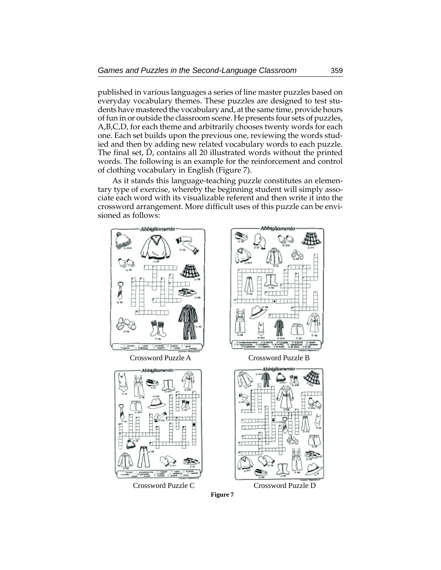published in various languages a series of line master puzzles based on everyday vocabulary themes. These puzzles are designed to test students have mastered the vocabulary and, at the same time, provide hours of fun in or outside the classroom scene. He presents four sets of puzzles, A,B,C,D, for each theme and arbitrarily chooses twenty words for each one. Each set builds upon the previous one, reviewing the words studied and then by adding new related vocabulary words to each puzzle. The final set, D, contains all 20 illustrated words without the printed words. The following is an example for the reinforcement and control of clothing vocabulary in English (Figure 7).

As it stands this language-teaching puzzle constitutes an elementary type of exercise, whereby the beginning student will simply associate each word with its visualizable referent and then write it into the crossword arrangement. More difficult uses of this puzzle can be envisioned as follows:



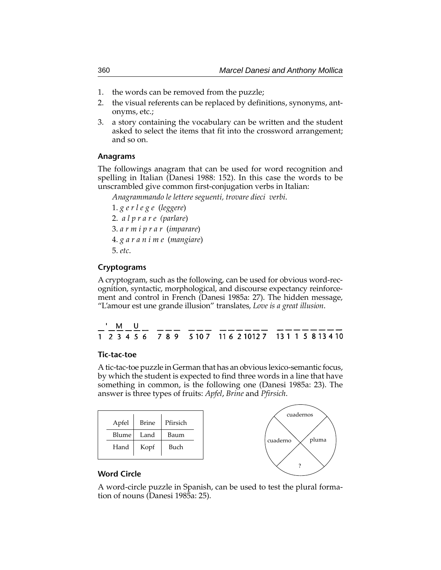- 1. the words can be removed from the puzzle;
- 2. the visual referents can be replaced by definitions, synonyms, antonyms, etc.;
- 3. a story containing the vocabulary can be written and the student asked to select the items that fit into the crossword arrangement; and so on.

# **Anagrams**

The followings anagram that can be used for word recognition and spelling in Italian (Danesi 1988: 152). In this case the words to be unscrambled give common first-conjugation verbs in Italian:

*Anagrammando le lettere seguenti, trovare dieci verbi*.

1. *g e r l e g e* (*leggere*) 2. *a l p r a r e (parlare*) 3. *a r m i p r a r* (*imparare*) 4. *g a r a n i m e* (*mangiare*) 5. *etc*.

# **Cryptograms**

A cryptogram, such as the following, can be used for obvious word-recognition, syntactic, morphological, and discourse expectancy reinforcement and control in French (Danesi 1985a: 27). The hidden message, "L'amour est une grande illusion" translates, *Love is a great illusion*.

| $\cdot$ M U |  |  |                                                               |  |  |  |  |  |  |
|-------------|--|--|---------------------------------------------------------------|--|--|--|--|--|--|
|             |  |  |                                                               |  |  |  |  |  |  |
|             |  |  | 1 2 3 4 5 6 7 8 9 5 10 7 11 6 2 101 2 7 1 3 1 1 5 8 1 3 4 1 0 |  |  |  |  |  |  |

## **Tic-tac-toe**

A tic-tac-toe puzzle in German that has an obvious lexico-semantic focus, by which the student is expected to find three words in a line that have something in common, is the following one (Danesi 1985a: 23). The answer is three types of fruits: *Apfel*, *Brine* and *Pfirsich*.

|       |             |          | cuadernos     |
|-------|-------------|----------|---------------|
| Apfel | Brine       | Pfirsich |               |
| Blume | Land        | Baum     | cuaderno<br>p |
|       | Hand   Kopf | Buch     |               |
|       |             |          |               |

# **Word Circle**

A word-circle puzzle in Spanish, can be used to test the plural formation of nouns (Danesi 1985a: 25).

pluma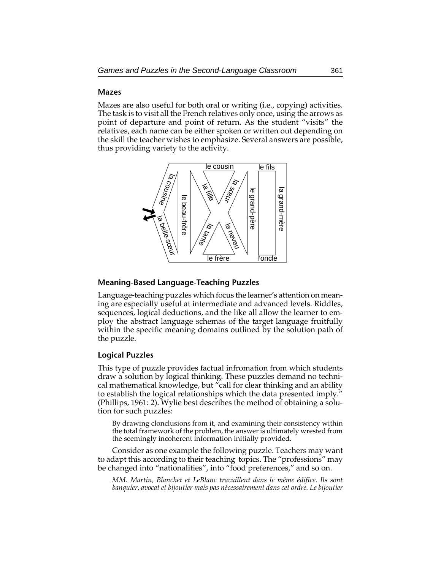#### **Mazes**

Mazes are also useful for both oral or writing (i.e., copying) activities. The task is to visit all the French relatives only once, using the arrows as point of departure and point of return. As the student "visits" the relatives, each name can be either spoken or written out depending on the skill the teacher wishes to emphasize. Several answers are possible, thus providing variety to the activity.



## **Meaning-Based Language-Teaching Puzzles**

Language-teaching puzzles which focus the learner's attention on meaning are especially useful at intermediate and advanced levels. Riddles, sequences, logical deductions, and the like all allow the learner to employ the abstract language schemas of the target language fruitfully within the specific meaning domains outlined by the solution path of the puzzle.

#### **Logical Puzzles**

This type of puzzle provides factual infromation from which students draw a solution by logical thinking. These puzzles demand no technical mathematical knowledge, but "call for clear thinking and an ability to establish the logical relationships which the data presented imply." (Phillips, 1961: 2). Wylie best describes the method of obtaining a solution for such puzzles:

By drawing clonclusions from it, and examining their consistency within the total framework of the problem, the answer is ultimately wrested from the seemingly incoherent information initially provided.

Consider as one example the following puzzle. Teachers may want to adapt this according to their teaching topics. The "professions" may be changed into "nationalities", into "food preferences," and so on.

*MM. Martin, Blanchet et LeBlanc travaillent dans le même édifice. Ils sont banquier, avocat et bijoutier mais pas nécessairement dans cet ordre. Le bijoutier*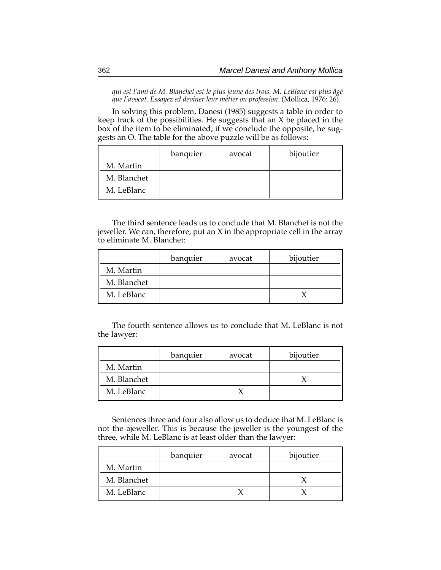*qui est l'ami de M. Blanchet est le plus jeune des trois. M. LeBlanc est plus âgé que l'avocat. Essayez ed deviner leur métier ou profession.* (Mollica, 1976: 26).

In solving this problem, Danesi (1985) suggests a table in order to keep track of the possibilities. He suggests that an X be placed in the box of the item to be eliminated; if we conclude the opposite, he suggests an O. The table for the above puzzle will be as follows:

|             | banquier | avocat | bijoutier |
|-------------|----------|--------|-----------|
| M. Martin   |          |        |           |
| M. Blanchet |          |        |           |
| M. LeBlanc  |          |        |           |

The third sentence leads us to conclude that M. Blanchet is not the jeweller. We can, therefore, put an  $X$  in the appropriate cell in the array to eliminate M. Blanchet:

|             | banquier | avocat | bijoutier |
|-------------|----------|--------|-----------|
| M. Martin   |          |        |           |
| M. Blanchet |          |        |           |
| M. LeBlanc  |          |        |           |

The fourth sentence allows us to conclude that M. LeBlanc is not the lawyer:

|             | banquier | avocat | bijoutier |
|-------------|----------|--------|-----------|
| M. Martin   |          |        |           |
| M. Blanchet |          |        |           |
| M. LeBlanc  |          |        |           |

Sentences three and four also allow us to deduce that M. LeBlanc is not the ajeweller. This is because the jeweller is the youngest of the three, while M. LeBlanc is at least older than the lawyer:

|             | banquier | avocat | bijoutier |
|-------------|----------|--------|-----------|
| M. Martin   |          |        |           |
| M. Blanchet |          |        |           |
| M. LeBlanc  |          |        |           |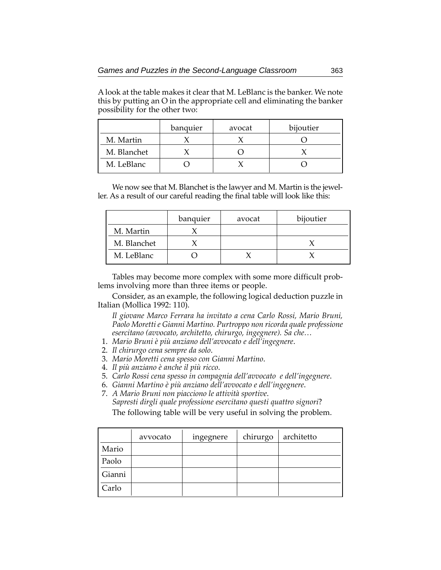A look at the table makes it clear that M. LeBlanc is the banker. We note this by putting an O in the appropriate cell and eliminating the banker possibility for the other two:

|             | banquier | avocat | bijoutier |
|-------------|----------|--------|-----------|
| M. Martin   |          |        |           |
| M. Blanchet |          |        |           |
| M. LeBlanc  |          |        |           |

We now see that M. Blanchet is the lawyer and M. Martin is the jeweller. As a result of our careful reading the final table will look like this:

|             | banquier | avocat | bijoutier |
|-------------|----------|--------|-----------|
| M. Martin   |          |        |           |
| M. Blanchet |          |        |           |
| M. LeBlanc  |          |        |           |

Tables may become more complex with some more difficult problems involving more than three items or people.

Consider, as an example, the following logical deduction puzzle in Italian (Mollica 1992: 110).

*Il giovane Marco Ferrara ha invitato a cena Carlo Rossi, Mario Bruni, Paolo Moretti e Gianni Martino. Purtroppo non ricorda quale professione esercitano (avvocato, architetto, chirurgo, ingegnere). Sa che…*

- 1. *Mario Bruni è più anziano dell'avvocato e dell'ingegnere*.
- 2. *Il chirurgo cena sempre da solo*.
- 3. *Mario Moretti cena spesso con Gianni Martino*.
- 4. *Il più anziano è anche il più ricco*.
- 5. *Carlo Rossi cena spesso in compagnia dell'avvocato e dell'ingegnere*.
- 6. *Gianni Martino è più anziano dell'avvocato e dell'ingegnere*.
- 7. *A Mario Bruni non piacciono le attività sportive*. *Sapresti dirgli quale professione esercitano questi quattro signori*?

The following table will be very useful in solving the problem.

|        | avvocato | ingegnere | chirurgo | architetto |
|--------|----------|-----------|----------|------------|
| Mario  |          |           |          |            |
| Paolo  |          |           |          |            |
| Gianni |          |           |          |            |
| Carlo  |          |           |          |            |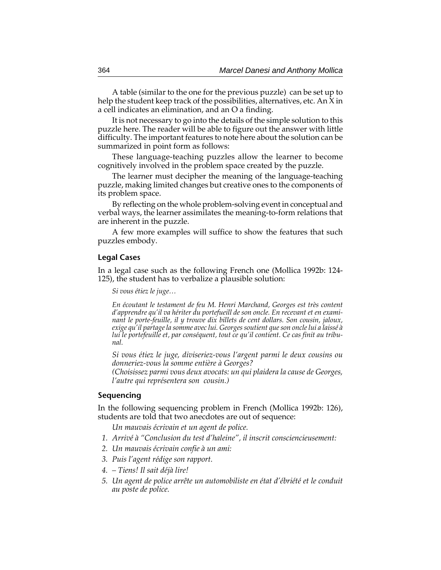A table (similar to the one for the previous puzzle) can be set up to help the student keep track of the possibilities, alternatives, etc. An X in a cell indicates an elimination, and an O a finding.

It is not necessary to go into the details of the simple solution to this puzzle here. The reader will be able to figure out the answer with little difficulty. The important features to note here about the solution can be summarized in point form as follows:

These language-teaching puzzles allow the learner to become cognitively involved in the problem space created by the puzzle.

The learner must decipher the meaning of the language-teaching puzzle, making limited changes but creative ones to the components of its problem space.

By reflecting on the whole problem-solving event in conceptual and verbal ways, the learner assimilates the meaning-to-form relations that are inherent in the puzzle.

A few more examples will suffice to show the features that such puzzles embody.

#### **Legal Cases**

In a legal case such as the following French one (Mollica 1992b: 124- 125), the student has to verbalize a plausible solution:

*Si vous étiez le juge…*

*En écoutant le testament de feu M. Henri Marchand, Georges est très content d'apprendre qu'il va hériter du portefueill de son oncle. En recevant et en examinant le porte-feuille, il y trouve dix billets de cent dollars. Son cousin, jaloux, exige qu'il partage la somme avec lui. Georges soutient que son oncle lui a laissé à lui le portefeuille et, par conséquent, tout ce qu'il contient. Ce cas finit au tribunal.*

*Si vous étiez le juge, diviseriez-vous l'argent parmi le deux cousins ou donneriez-vous la somme entière à Georges?*

*(Choisissez parmi vous deux avocats: un qui plaidera la cause de Georges, l'autre qui représentera son cousin.)*

# **Sequencing**

In the following sequencing problem in French (Mollica 1992b: 126), students are told that two anecdotes are out of sequence:

*Un mauvais écrivain et un agent de police.*

- *1. Arrivé à "Conclusion du test d'haleine", il inscrit consciencieusement:*
- *2. Un mauvais écrivain confie à un ami:*
- *3. Puis l'agent rédige son rapport.*
- *4. Tiens! Il sait déjà lire!*
- *5. Un agent de police arrête un automobiliste en état d'ébriété et le conduit au poste de police.*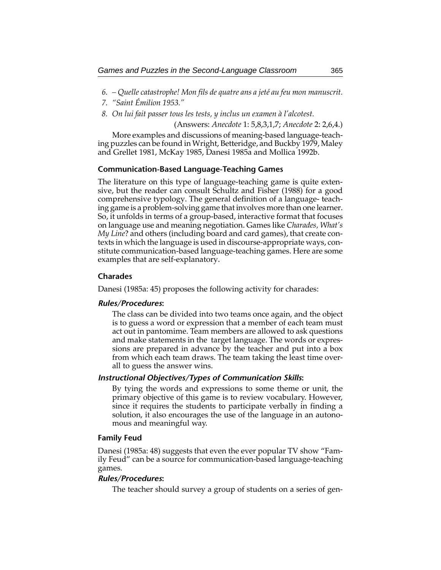- *6. Quelle catastrophe! Mon fils de quatre ans a jeté au feu mon manuscrit.*
- *7. "Saint Émilion 1953."*
- *8. On lui fait passer tous les tests, y inclus un examen à l'alcotest.*

(Answers: *Anecdote* 1: 5,8,3,1,7; *Anecdote* 2: 2,6,4.)

More examples and discussions of meaning-based language-teaching puzzles can be found in Wright, Betteridge, and Buckby 1979, Maley and Grellet 1981, McKay 1985, Danesi 1985a and Mollica 1992b.

## **Communication-Based Language-Teaching Games**

The literature on this type of language-teaching game is quite extensive, but the reader can consult Schultz and Fisher (1988) for a good comprehensive typology. The general definition of a language- teaching game is a problem-solving game that involves more than one learner. So, it unfolds in terms of a group-based, interactive format that focuses on language use and meaning negotiation. Games like *Charades, What's My Line*? and others (including board and card games), that create contexts in which the language is used in discourse-appropriate ways, constitute communication-based language-teaching games. Here are some examples that are self-explanatory.

## **Charades**

Danesi (1985a: 45) proposes the following activity for charades:

#### **Rules/Procedures:**

The class can be divided into two teams once again, and the object is to guess a word or expression that a member of each team must act out in pantomime. Team members are allowed to ask questions and make statements in the target language. The words or expressions are prepared in advance by the teacher and put into a box from which each team draws. The team taking the least time overall to guess the answer wins.

#### **Instructional Objectives/Types of Communication Skills:**

By tying the words and expressions to some theme or unit, the primary objective of this game is to review vocabulary. However, since it requires the students to participate verbally in finding a solution, it also encourages the use of the language in an autonomous and meaningful way.

#### **Family Feud**

Danesi (1985a: 48) suggests that even the ever popular TV show "Family Feud" can be a source for communication-based language-teaching games.

#### **Rules/Procedures:**

The teacher should survey a group of students on a series of gen-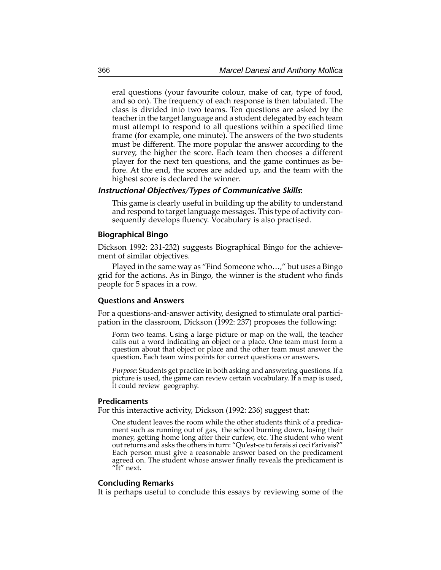eral questions (your favourite colour, make of car, type of food, and so on). The frequency of each response is then tabulated. The class is divided into two teams. Ten questions are asked by the teacher in the target language and a student delegated by each team must attempt to respond to all questions within a specified time frame (for example, one minute). The answers of the two students must be different. The more popular the answer according to the survey, the higher the score. Each team then chooses a different player for the next ten questions, and the game continues as before. At the end, the scores are added up, and the team with the highest score is declared the winner.

#### **Instructional Objectives/Types of Communicative Skills:**

This game is clearly useful in building up the ability to understand and respond to target language messages. This type of activity consequently develops fluency. Vocabulary is also practised.

#### **Biographical Bingo**

Dickson 1992: 231-232) suggests Biographical Bingo for the achievement of similar objectives.

Played in the same way as "Find Someone who…," but uses a Bingo grid for the actions. As in Bingo, the winner is the student who finds people for 5 spaces in a row.

## **Questions and Answers**

For a questions-and-answer activity, designed to stimulate oral participation in the classroom, Dickson (1992: 237) proposes the following:

Form two teams. Using a large picture or map on the wall, the teacher calls out a word indicating an object or a place. One team must form a question about that object or place and the other team must answer the question. Each team wins points for correct questions or answers.

*Purpose*: Students get practice in both asking and answering questions. If a picture is used, the game can review certain vocabulary. If a map is used, it could review geography.

#### **Predicaments**

For this interactive activity, Dickson (1992: 236) suggest that:

One student leaves the room while the other students think of a predicament such as running out of gas, the school burning down, losing their money, getting home long after their curfew, etc. The student who went out returns and asks the others in turn: "Qu'est-ce tu ferais si ceci t'arivais?" Each person must give a reasonable answer based on the predicament agreed on. The student whose answer finally reveals the predicament is "It" next.

#### **Concluding Remarks**

It is perhaps useful to conclude this essays by reviewing some of the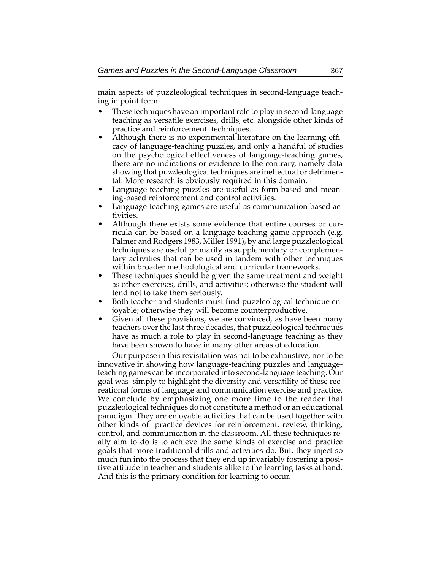main aspects of puzzleological techniques in second-language teaching in point form:

- These techniques have an important role to play in second-language teaching as versatile exercises, drills, etc. alongside other kinds of practice and reinforcement techniques.
- Although there is no experimental literature on the learning-efficacy of language-teaching puzzles, and only a handful of studies on the psychological effectiveness of language-teaching games, there are no indications or evidence to the contrary, namely data showing that puzzleological techniques are ineffectual or detrimental. More research is obviously required in this domain.
- Language-teaching puzzles are useful as form-based and meaning-based reinforcement and control activities.
- Language-teaching games are useful as communication-based activities.
- Although there exists some evidence that entire courses or curricula can be based on a language-teaching game approach (e.g. Palmer and Rodgers 1983, Miller 1991), by and large puzzleological techniques are useful primarily as supplementary or complementary activities that can be used in tandem with other techniques within broader methodological and curricular frameworks.
- These techniques should be given the same treatment and weight as other exercises, drills, and activities; otherwise the student will tend not to take them seriously.
- Both teacher and students must find puzzleological technique enjoyable; otherwise they will become counterproductive.
- Given all these provisions, we are convinced, as have been many teachers over the last three decades, that puzzleological techniques have as much a role to play in second-language teaching as they have been shown to have in many other areas of education.

Our purpose in this revisitation was not to be exhaustive, nor to be innovative in showing how language-teaching puzzles and languageteaching games can be incorporated into second-language teaching. Our goal was simply to highlight the diversity and versatility of these recreational forms of language and communication exercise and practice. We conclude by emphasizing one more time to the reader that puzzleological techniques do not constitute a method or an educational paradigm. They are enjoyable activities that can be used together with other kinds of practice devices for reinforcement, review, thinking, control, and communication in the classroom. All these techniques really aim to do is to achieve the same kinds of exercise and practice goals that more traditional drills and activities do. But, they inject so much fun into the process that they end up invariably fostering a positive attitude in teacher and students alike to the learning tasks at hand. And this is the primary condition for learning to occur.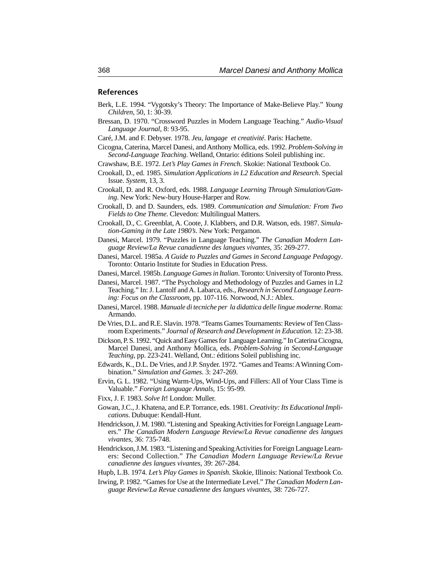#### **References**

- Berk, L.E. 1994. "Vygotsky's Theory: The Importance of Make-Believe Play." *Young Children*, 50, 1: 30-39.
- Bressan, D. 1970. "Crossword Puzzles in Modern Language Teaching." *Audio-Visual Language Journal*, 8: 93-95.
- Caré, J.M. and F. Debyser. 1978. *Jeu, langage et creativité*. Paris: Hachette.
- Cicogna, Caterina, Marcel Danesi, and Anthony Mollica, eds. 1992. *Problem-Solving in Second-Language Teaching*. Welland, Ontario: éditions Soleil publishing inc.
- Crawshaw, B.E. 1972. *Let's Play Games in French*. Skokie: National Textbook Co.
- Crookall, D., ed. 1985. *Simulation Applications in L2 Education and Research*. Special Issue. *System*, 13, 3.
- Crookall, D. and R. Oxford, eds. 1988. *Language Learning Through Simulation/Gaming*. New York: New-bury House-Harper and Row.
- Crookall, D. and D. Saunders, eds. 1989. *Communication and Simulation: From Two Fields to One Theme*. Clevedon: Multilingual Matters.
- Crookall, D., C. Greenblat, A. Coote, J. Klabbers, and D.R. Watson, eds. 1987. *Simulation-Gaming in the Late 1980's*. New York: Pergamon.
- Danesi, Marcel. 1979. "Puzzles in Language Teaching." *The Canadian Modern Language Review/La Revue canadienne des langues vivantes*, 35: 269-277.
- Danesi, Marcel. 1985a. *A Guide to Puzzles and Games in Second Language Pedagogy*. Toronto: Ontario Institute for Studies in Education Press.
- Danesi, Marcel. 1985b. *Language Games in Italian*. Toronto: University of Toronto Press.
- Danesi, Marcel. 1987. "The Psychology and Methodology of Puzzles and Games in L2 Teaching." In: J. Lantolf and A. Labarca, eds., *Research in Second Language Learning: Focus on the Classroom*, pp. 107-116. Norwood, N.J.: Ablex.
- Danesi, Marcel. 1988. *Manuale di tecniche per la didattica delle lingue moderne*. Roma: Armando.
- De Vries, D.L. and R.E. Slavin. 1978. "Teams Games Tournaments: Review of Ten Classroom Experiments." *Journal of Research and Development in Education*. 12: 23-38.
- Dickson, P. S. 1992. "Quick and Easy Games for Language Learning." In Caterina Cicogna, Marcel Danesi, and Anthony Mollica, eds. *Problem-Solving in Second-Language Teaching*, pp. 223-241. Welland, Ont.: éditions Soleil publishing inc.
- Edwards, K., D.L. De Vries, and J.P. Snyder. 1972. "Games and Teams: A Winning Combination." *Simulation and Games*. 3: 247-269.
- Ervin, G. L. 1982. "Using Warm-Ups, Wind-Ups, and Fillers: All of Your Class Time is Valuable." *Foreign Language Annals*, 15: 95-99.
- Fixx, J. F. 1983. *Solve It*! London: Muller.
- Gowan, J.C., J. Khatena, and E.P. Torrance, eds. 1981. *Creativity: Its Educational Implications*. Dubuque: Kendall-Hunt.
- Hendrickson, J. M. 1980. "Listening and Speaking Activities for Foreign Language Learners." *The Canadian Modern Language Review/La Revue canadienne des langues vivantes*, 36: 735-748.
- Hendrickson, J.M. 1983. "Listening and Speaking Activities for Foreign Language Learners: Second Collection." *The Canadian Modern Language Review/La Revue canadienne des langues vivantes*, 39: 267-284.
- Hupb, L.B. 1974. *Let's Play Games in Spanish*. Skokie, Illinois: National Textbook Co.
- Irwing, P. 1982. "Games for Use at the Intermediate Level." *The Canadian Modern Language Review/La Revue canadienne des langues vivantes*, 38: 726-727.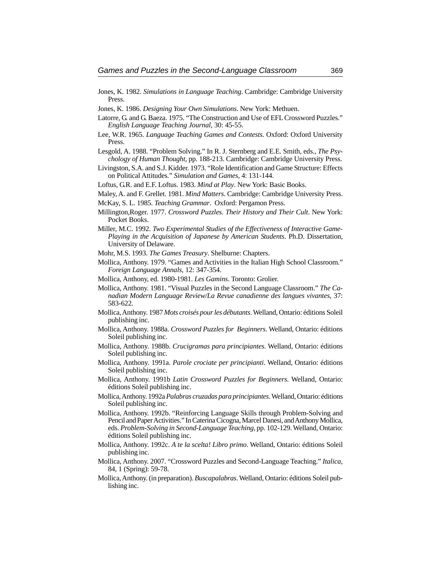- Jones, K. 1982. *Simulations in Language Teaching*. Cambridge: Cambridge University Press.
- Jones, K. 1986. *Designing Your Own Simulations*. New York: Methuen.
- Latorre, G. and G. Baeza. 1975. "The Construction and Use of EFL Crossword Puzzles." *English Language Teaching Journal*, 30: 45-55.
- Lee, W.R. 1965. *Language Teaching Games and Contests*. Oxford: Oxford University Press.
- Lesgold, A. 1988. "Problem Solving." In R. J. Sternberg and E.E. Smith, eds., *The Psychology of Human Thought*, pp. 188-213. Cambridge: Cambridge University Press.
- Livingston, S.A. and S.J. Kidder. 1973. "Role Identification and Game Structure: Effects on Political Attitudes." *Simulation and Games*, 4: 131-144.
- Loftus, G.R. and E.F. Loftus. 1983. *Mind at Play*. New York: Basic Books.
- Maley, A. and F. Grellet. 1981. *Mind Matters*. Cambridge: Cambridge University Press. McKay, S. L. 1985. *Teaching Grammar*. Oxford: Pergamon Press.
- Millington,Roger. 1977. *Crossword Puzzles. Their History and Their Cult*. New York: Pocket Books.
- Miller, M.C. 1992. *Two Experimental Studies of the Effectiveness of Interactive Game-Playing in the Acquisition of Japanese by American Students*. Ph.D. Dissertation, University of Delaware.
- Mohr, M.S. 1993. *The Games Treasury*. Shelburne: Chapters.
- Mollica, Anthony. 1979. "Games and Activities in the Italian High School Classroom." *Foreign Language Annals*, 12: 347-354.
- Mollica, Anthony, ed. 1980-1981. *Les Gamins*. Toronto: Grolier.
- Mollica, Anthony. 1981. "Visual Puzzles in the Second Language Classroom." *The Canadian Modern Language Review/La Revue canadienne des langues vivantes*, 37: 583-622.
- Mollica, Anthony. 1987 *Mots croisés pour les débutants*. Welland, Ontario: éditions Soleil publishing inc.
- Mollica, Anthony. 1988a. *Crossword Puzzles for Beginners*. Welland, Ontario: éditions Soleil publishing inc.
- Mollica, Anthony. 1988b. *Crucigramas para principiantes*. Welland, Ontario: éditions Soleil publishing inc.
- Mollica, Anthony. 1991a. *Parole crociate per principianti*. Welland, Ontario: éditions Soleil publishing inc.
- Mollica, Anthony. 1991b *Latin Crossword Puzzles for Beginners*. Welland, Ontario: éditions Soleil publishing inc.
- Mollica, Anthony. 1992a *Palabras cruzadas para principiantes*. Welland, Ontario: éditions Soleil publishing inc.
- Mollica, Anthony. 1992b. "Reinforcing Language Skills through Problem-Solving and Pencil and Paper Activities." In Caterina Cicogna, Marcel Danesi, and Anthony Mollica, eds. *Problem-Solving in Second-Language Teaching*, pp. 102-129. Welland, Ontario: éditions Soleil publishing inc.
- Mollica, Anthony. 1992c. *A te la scelta! Libro primo*. Welland, Ontario: éditions Soleil publishing inc.
- Mollica, Anthony. 2007. "Crossword Puzzles and Second-Language Teaching." *Italica,* 84, 1 (Spring): 59-78.
- Mollica, Anthony. (in preparation). *Buscapalabras*. Welland, Ontario: éditions Soleil publishing inc.